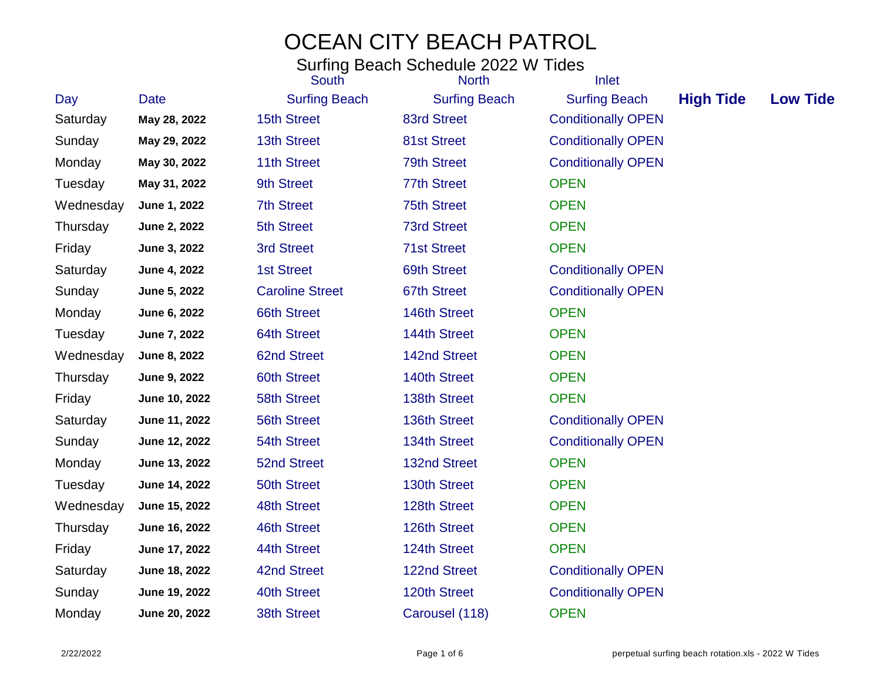|           |               | South                  | <b>North</b>         | Inlet                     |                  |                 |
|-----------|---------------|------------------------|----------------------|---------------------------|------------------|-----------------|
| Day       | <b>Date</b>   | <b>Surfing Beach</b>   | <b>Surfing Beach</b> | <b>Surfing Beach</b>      | <b>High Tide</b> | <b>Low Tide</b> |
| Saturday  | May 28, 2022  | <b>15th Street</b>     | 83rd Street          | <b>Conditionally OPEN</b> |                  |                 |
| Sunday    | May 29, 2022  | <b>13th Street</b>     | 81st Street          | <b>Conditionally OPEN</b> |                  |                 |
| Monday    | May 30, 2022  | 11th Street            | <b>79th Street</b>   | <b>Conditionally OPEN</b> |                  |                 |
| Tuesday   | May 31, 2022  | 9th Street             | <b>77th Street</b>   | <b>OPEN</b>               |                  |                 |
| Wednesday | June 1, 2022  | <b>7th Street</b>      | <b>75th Street</b>   | <b>OPEN</b>               |                  |                 |
| Thursday  | June 2, 2022  | 5th Street             | <b>73rd Street</b>   | <b>OPEN</b>               |                  |                 |
| Friday    | June 3, 2022  | <b>3rd Street</b>      | <b>71st Street</b>   | <b>OPEN</b>               |                  |                 |
| Saturday  | June 4, 2022  | <b>1st Street</b>      | 69th Street          | <b>Conditionally OPEN</b> |                  |                 |
| Sunday    | June 5, 2022  | <b>Caroline Street</b> | 67th Street          | <b>Conditionally OPEN</b> |                  |                 |
| Monday    | June 6, 2022  | <b>66th Street</b>     | 146th Street         | <b>OPEN</b>               |                  |                 |
| Tuesday   | June 7, 2022  | <b>64th Street</b>     | 144th Street         | <b>OPEN</b>               |                  |                 |
| Wednesday | June 8, 2022  | <b>62nd Street</b>     | 142nd Street         | <b>OPEN</b>               |                  |                 |
| Thursday  | June 9, 2022  | <b>60th Street</b>     | 140th Street         | <b>OPEN</b>               |                  |                 |
| Friday    | June 10, 2022 | <b>58th Street</b>     | 138th Street         | <b>OPEN</b>               |                  |                 |
| Saturday  | June 11, 2022 | <b>56th Street</b>     | 136th Street         | <b>Conditionally OPEN</b> |                  |                 |
| Sunday    | June 12, 2022 | 54th Street            | 134th Street         | <b>Conditionally OPEN</b> |                  |                 |
| Monday    | June 13, 2022 | <b>52nd Street</b>     | 132nd Street         | <b>OPEN</b>               |                  |                 |
| Tuesday   | June 14, 2022 | <b>50th Street</b>     | 130th Street         | <b>OPEN</b>               |                  |                 |
| Wednesday | June 15, 2022 | 48th Street            | 128th Street         | <b>OPEN</b>               |                  |                 |
| Thursday  | June 16, 2022 | 46th Street            | 126th Street         | <b>OPEN</b>               |                  |                 |
| Friday    | June 17, 2022 | 44th Street            | 124th Street         | <b>OPEN</b>               |                  |                 |
| Saturday  | June 18, 2022 | 42nd Street            | 122nd Street         | <b>Conditionally OPEN</b> |                  |                 |
| Sunday    | June 19, 2022 | 40th Street            | 120th Street         | <b>Conditionally OPEN</b> |                  |                 |
| Monday    | June 20, 2022 | <b>38th Street</b>     | Carousel (118)       | <b>OPEN</b>               |                  |                 |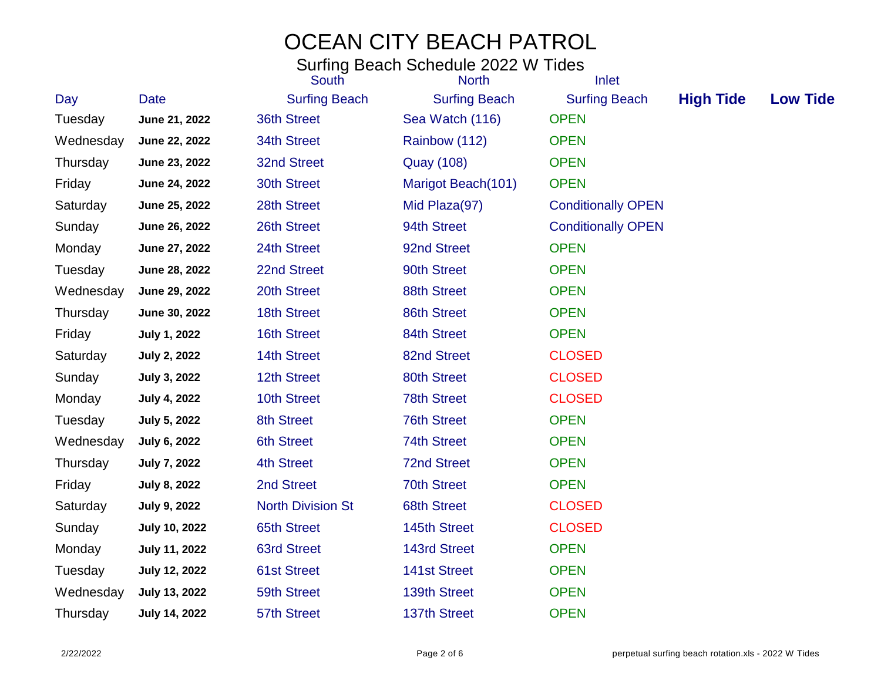|           |                      | South                    | <b>North</b>         | Inlet                     |                  |                 |
|-----------|----------------------|--------------------------|----------------------|---------------------------|------------------|-----------------|
| Day       | <b>Date</b>          | <b>Surfing Beach</b>     | <b>Surfing Beach</b> | <b>Surfing Beach</b>      | <b>High Tide</b> | <b>Low Tide</b> |
| Tuesday   | June 21, 2022        | 36th Street              | Sea Watch (116)      | <b>OPEN</b>               |                  |                 |
| Wednesday | June 22, 2022        | 34th Street              | Rainbow (112)        | <b>OPEN</b>               |                  |                 |
| Thursday  | June 23, 2022        | 32nd Street              | <b>Quay (108)</b>    | <b>OPEN</b>               |                  |                 |
| Friday    | June 24, 2022        | 30th Street              | Marigot Beach(101)   | <b>OPEN</b>               |                  |                 |
| Saturday  | June 25, 2022        | 28th Street              | Mid Plaza(97)        | <b>Conditionally OPEN</b> |                  |                 |
| Sunday    | June 26, 2022        | 26th Street              | 94th Street          | <b>Conditionally OPEN</b> |                  |                 |
| Monday    | June 27, 2022        | 24th Street              | 92nd Street          | <b>OPEN</b>               |                  |                 |
| Tuesday   | June 28, 2022        | 22nd Street              | 90th Street          | <b>OPEN</b>               |                  |                 |
| Wednesday | June 29, 2022        | 20th Street              | 88th Street          | <b>OPEN</b>               |                  |                 |
| Thursday  | June 30, 2022        | 18th Street              | 86th Street          | <b>OPEN</b>               |                  |                 |
| Friday    | <b>July 1, 2022</b>  | 16th Street              | 84th Street          | <b>OPEN</b>               |                  |                 |
| Saturday  | <b>July 2, 2022</b>  | 14th Street              | 82nd Street          | <b>CLOSED</b>             |                  |                 |
| Sunday    | <b>July 3, 2022</b>  | 12th Street              | 80th Street          | <b>CLOSED</b>             |                  |                 |
| Monday    | <b>July 4, 2022</b>  | 10th Street              | <b>78th Street</b>   | <b>CLOSED</b>             |                  |                 |
| Tuesday   | <b>July 5, 2022</b>  | <b>8th Street</b>        | <b>76th Street</b>   | <b>OPEN</b>               |                  |                 |
| Wednesday | July 6, 2022         | <b>6th Street</b>        | 74th Street          | <b>OPEN</b>               |                  |                 |
| Thursday  | <b>July 7, 2022</b>  | <b>4th Street</b>        | <b>72nd Street</b>   | <b>OPEN</b>               |                  |                 |
| Friday    | <b>July 8, 2022</b>  | 2nd Street               | <b>70th Street</b>   | <b>OPEN</b>               |                  |                 |
| Saturday  | <b>July 9, 2022</b>  | <b>North Division St</b> | <b>68th Street</b>   | <b>CLOSED</b>             |                  |                 |
| Sunday    | <b>July 10, 2022</b> | <b>65th Street</b>       | 145th Street         | <b>CLOSED</b>             |                  |                 |
| Monday    | <b>July 11, 2022</b> | <b>63rd Street</b>       | <b>143rd Street</b>  | <b>OPEN</b>               |                  |                 |
| Tuesday   | <b>July 12, 2022</b> | <b>61st Street</b>       | <b>141st Street</b>  | <b>OPEN</b>               |                  |                 |
| Wednesday | <b>July 13, 2022</b> | 59th Street              | 139th Street         | <b>OPEN</b>               |                  |                 |
| Thursday  | <b>July 14, 2022</b> | 57th Street              | 137th Street         | <b>OPEN</b>               |                  |                 |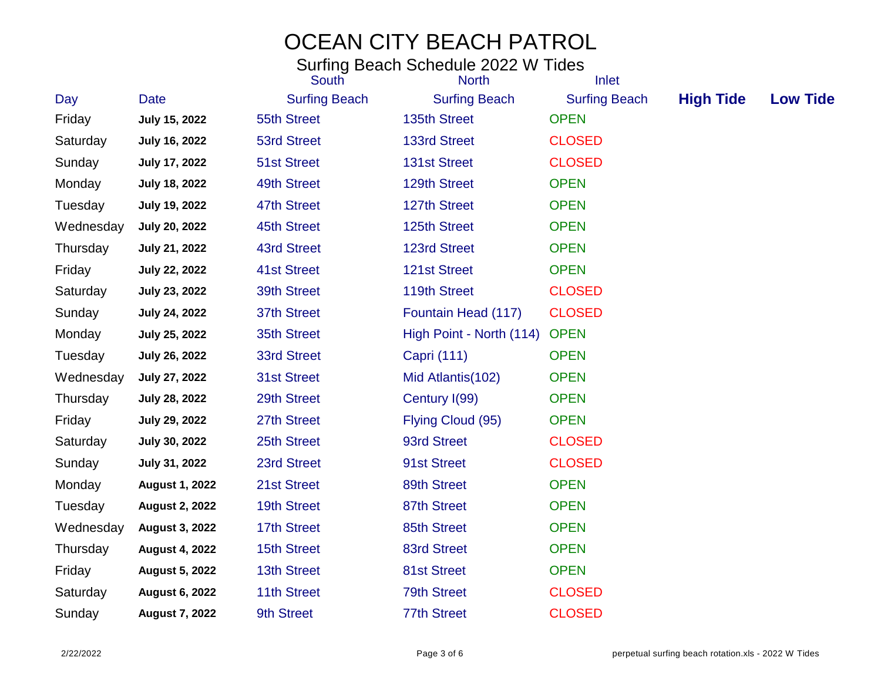|           |                       | South                | <b>North</b>                  | Inlet                |                  |                 |
|-----------|-----------------------|----------------------|-------------------------------|----------------------|------------------|-----------------|
| Day       | <b>Date</b>           | <b>Surfing Beach</b> | <b>Surfing Beach</b>          | <b>Surfing Beach</b> | <b>High Tide</b> | <b>Low Tide</b> |
| Friday    | July 15, 2022         | 55th Street          | 135th Street                  | <b>OPEN</b>          |                  |                 |
| Saturday  | <b>July 16, 2022</b>  | <b>53rd Street</b>   | 133rd Street                  | <b>CLOSED</b>        |                  |                 |
| Sunday    | July 17, 2022         | <b>51st Street</b>   | <b>131st Street</b>           | <b>CLOSED</b>        |                  |                 |
| Monday    | <b>July 18, 2022</b>  | 49th Street          | 129th Street                  | <b>OPEN</b>          |                  |                 |
| Tuesday   | <b>July 19, 2022</b>  | 47th Street          | 127th Street                  | <b>OPEN</b>          |                  |                 |
| Wednesday | <b>July 20, 2022</b>  | 45th Street          | 125th Street                  | <b>OPEN</b>          |                  |                 |
| Thursday  | July 21, 2022         | 43rd Street          | <b>123rd Street</b>           | <b>OPEN</b>          |                  |                 |
| Friday    | <b>July 22, 2022</b>  | <b>41st Street</b>   | <b>121st Street</b>           | <b>OPEN</b>          |                  |                 |
| Saturday  | <b>July 23, 2022</b>  | 39th Street          | 119th Street                  | <b>CLOSED</b>        |                  |                 |
| Sunday    | <b>July 24, 2022</b>  | 37th Street          | Fountain Head (117)           | <b>CLOSED</b>        |                  |                 |
| Monday    | July 25, 2022         | 35th Street          | High Point - North (114) OPEN |                      |                  |                 |
| Tuesday   | July 26, 2022         | 33rd Street          | Capri (111)                   | <b>OPEN</b>          |                  |                 |
| Wednesday | July 27, 2022         | <b>31st Street</b>   | Mid Atlantis(102)             | <b>OPEN</b>          |                  |                 |
| Thursday  | <b>July 28, 2022</b>  | 29th Street          | Century I(99)                 | <b>OPEN</b>          |                  |                 |
| Friday    | <b>July 29, 2022</b>  | 27th Street          | Flying Cloud (95)             | <b>OPEN</b>          |                  |                 |
| Saturday  | <b>July 30, 2022</b>  | 25th Street          | 93rd Street                   | <b>CLOSED</b>        |                  |                 |
| Sunday    | July 31, 2022         | 23rd Street          | 91st Street                   | <b>CLOSED</b>        |                  |                 |
| Monday    | <b>August 1, 2022</b> | 21st Street          | 89th Street                   | <b>OPEN</b>          |                  |                 |
| Tuesday   | <b>August 2, 2022</b> | 19th Street          | 87th Street                   | <b>OPEN</b>          |                  |                 |
| Wednesday | <b>August 3, 2022</b> | 17th Street          | 85th Street                   | <b>OPEN</b>          |                  |                 |
| Thursday  | <b>August 4, 2022</b> | 15th Street          | 83rd Street                   | <b>OPEN</b>          |                  |                 |
| Friday    | <b>August 5, 2022</b> | 13th Street          | 81st Street                   | <b>OPEN</b>          |                  |                 |
| Saturday  | <b>August 6, 2022</b> | 11th Street          | <b>79th Street</b>            | <b>CLOSED</b>        |                  |                 |
| Sunday    | <b>August 7, 2022</b> | 9th Street           | <b>77th Street</b>            | <b>CLOSED</b>        |                  |                 |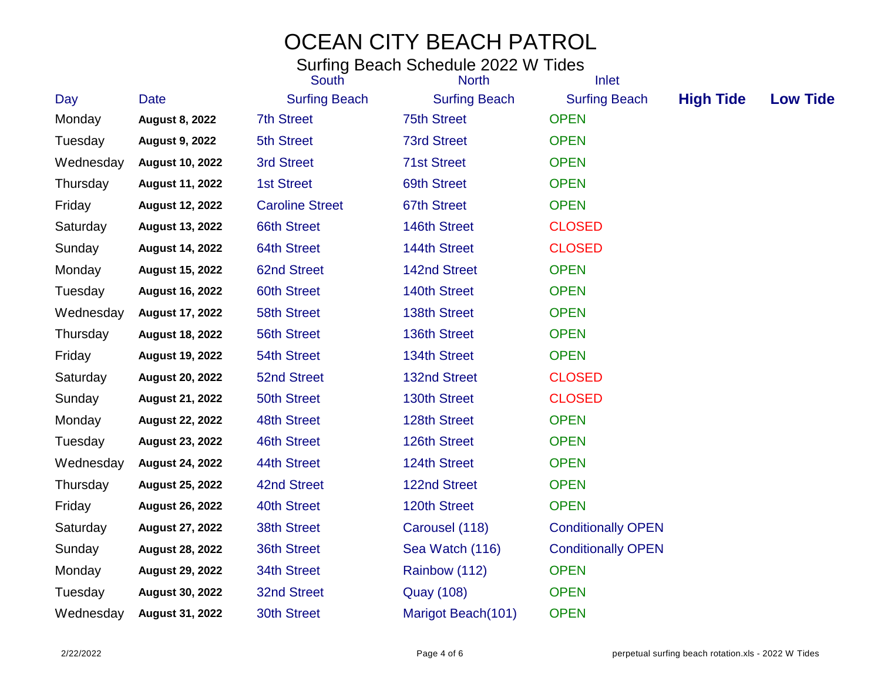|           |                        | <b>South</b>           | <b>North</b>         | Inlet                     |                  |                 |
|-----------|------------------------|------------------------|----------------------|---------------------------|------------------|-----------------|
| Day       | <b>Date</b>            | <b>Surfing Beach</b>   | <b>Surfing Beach</b> | <b>Surfing Beach</b>      | <b>High Tide</b> | <b>Low Tide</b> |
| Monday    | <b>August 8, 2022</b>  | <b>7th Street</b>      | <b>75th Street</b>   | <b>OPEN</b>               |                  |                 |
| Tuesday   | <b>August 9, 2022</b>  | <b>5th Street</b>      | <b>73rd Street</b>   | <b>OPEN</b>               |                  |                 |
| Wednesday | <b>August 10, 2022</b> | 3rd Street             | <b>71st Street</b>   | <b>OPEN</b>               |                  |                 |
| Thursday  | <b>August 11, 2022</b> | <b>1st Street</b>      | 69th Street          | <b>OPEN</b>               |                  |                 |
| Friday    | <b>August 12, 2022</b> | <b>Caroline Street</b> | 67th Street          | <b>OPEN</b>               |                  |                 |
| Saturday  | <b>August 13, 2022</b> | <b>66th Street</b>     | 146th Street         | <b>CLOSED</b>             |                  |                 |
| Sunday    | <b>August 14, 2022</b> | 64th Street            | 144th Street         | <b>CLOSED</b>             |                  |                 |
| Monday    | <b>August 15, 2022</b> | <b>62nd Street</b>     | 142nd Street         | <b>OPEN</b>               |                  |                 |
| Tuesday   | <b>August 16, 2022</b> | 60th Street            | 140th Street         | <b>OPEN</b>               |                  |                 |
| Wednesday | <b>August 17, 2022</b> | 58th Street            | 138th Street         | <b>OPEN</b>               |                  |                 |
| Thursday  | <b>August 18, 2022</b> | <b>56th Street</b>     | 136th Street         | <b>OPEN</b>               |                  |                 |
| Friday    | <b>August 19, 2022</b> | 54th Street            | 134th Street         | <b>OPEN</b>               |                  |                 |
| Saturday  | <b>August 20, 2022</b> | 52nd Street            | 132nd Street         | <b>CLOSED</b>             |                  |                 |
| Sunday    | <b>August 21, 2022</b> | 50th Street            | 130th Street         | <b>CLOSED</b>             |                  |                 |
| Monday    | <b>August 22, 2022</b> | 48th Street            | 128th Street         | <b>OPEN</b>               |                  |                 |
| Tuesday   | <b>August 23, 2022</b> | 46th Street            | 126th Street         | <b>OPEN</b>               |                  |                 |
| Wednesday | <b>August 24, 2022</b> | 44th Street            | 124th Street         | <b>OPEN</b>               |                  |                 |
| Thursday  | <b>August 25, 2022</b> | 42nd Street            | 122nd Street         | <b>OPEN</b>               |                  |                 |
| Friday    | <b>August 26, 2022</b> | 40th Street            | 120th Street         | <b>OPEN</b>               |                  |                 |
| Saturday  | <b>August 27, 2022</b> | 38th Street            | Carousel (118)       | <b>Conditionally OPEN</b> |                  |                 |
| Sunday    | <b>August 28, 2022</b> | 36th Street            | Sea Watch (116)      | <b>Conditionally OPEN</b> |                  |                 |
| Monday    | <b>August 29, 2022</b> | 34th Street            | Rainbow (112)        | <b>OPEN</b>               |                  |                 |
| Tuesday   | <b>August 30, 2022</b> | 32nd Street            | <b>Quay (108)</b>    | <b>OPEN</b>               |                  |                 |
| Wednesday | <b>August 31, 2022</b> | <b>30th Street</b>     | Marigot Beach(101)   | <b>OPEN</b>               |                  |                 |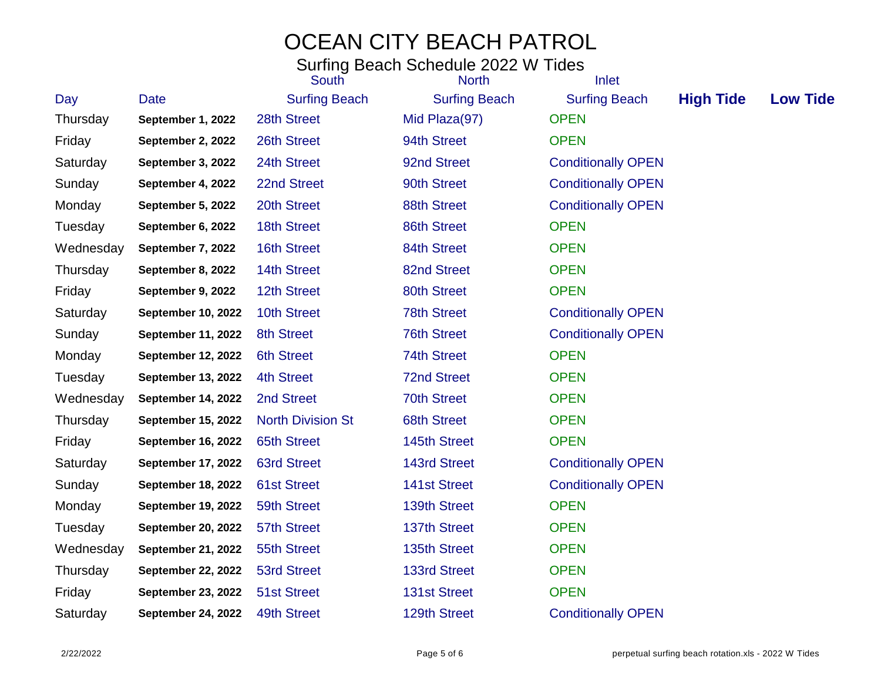|           |                           | South                    | <b>North</b>         | Inlet                     |                  |                 |
|-----------|---------------------------|--------------------------|----------------------|---------------------------|------------------|-----------------|
| Day       | Date                      | <b>Surfing Beach</b>     | <b>Surfing Beach</b> | <b>Surfing Beach</b>      | <b>High Tide</b> | <b>Low Tide</b> |
| Thursday  | September 1, 2022         | 28th Street              | Mid Plaza(97)        | <b>OPEN</b>               |                  |                 |
| Friday    | September 2, 2022         | 26th Street              | 94th Street          | <b>OPEN</b>               |                  |                 |
| Saturday  | September 3, 2022         | 24th Street              | 92nd Street          | <b>Conditionally OPEN</b> |                  |                 |
| Sunday    | September 4, 2022         | 22nd Street              | 90th Street          | <b>Conditionally OPEN</b> |                  |                 |
| Monday    | September 5, 2022         | 20th Street              | 88th Street          | <b>Conditionally OPEN</b> |                  |                 |
| Tuesday   | September 6, 2022         | 18th Street              | 86th Street          | <b>OPEN</b>               |                  |                 |
| Wednesday | September 7, 2022         | 16th Street              | 84th Street          | <b>OPEN</b>               |                  |                 |
| Thursday  | September 8, 2022         | 14th Street              | 82nd Street          | <b>OPEN</b>               |                  |                 |
| Friday    | September 9, 2022         | 12th Street              | 80th Street          | <b>OPEN</b>               |                  |                 |
| Saturday  | September 10, 2022        | 10th Street              | <b>78th Street</b>   | <b>Conditionally OPEN</b> |                  |                 |
| Sunday    | September 11, 2022        | 8th Street               | <b>76th Street</b>   | <b>Conditionally OPEN</b> |                  |                 |
| Monday    | <b>September 12, 2022</b> | <b>6th Street</b>        | <b>74th Street</b>   | <b>OPEN</b>               |                  |                 |
| Tuesday   | September 13, 2022        | <b>4th Street</b>        | <b>72nd Street</b>   | <b>OPEN</b>               |                  |                 |
| Wednesday | September 14, 2022        | 2nd Street               | <b>70th Street</b>   | <b>OPEN</b>               |                  |                 |
| Thursday  | September 15, 2022        | <b>North Division St</b> | <b>68th Street</b>   | <b>OPEN</b>               |                  |                 |
| Friday    | September 16, 2022        | <b>65th Street</b>       | 145th Street         | <b>OPEN</b>               |                  |                 |
| Saturday  | September 17, 2022        | <b>63rd Street</b>       | <b>143rd Street</b>  | <b>Conditionally OPEN</b> |                  |                 |
| Sunday    | September 18, 2022        | <b>61st Street</b>       | <b>141st Street</b>  | <b>Conditionally OPEN</b> |                  |                 |
| Monday    | September 19, 2022        | 59th Street              | 139th Street         | <b>OPEN</b>               |                  |                 |
| Tuesday   | <b>September 20, 2022</b> | 57th Street              | 137th Street         | <b>OPEN</b>               |                  |                 |
| Wednesday | <b>September 21, 2022</b> | 55th Street              | 135th Street         | <b>OPEN</b>               |                  |                 |
| Thursday  | <b>September 22, 2022</b> | <b>53rd Street</b>       | <b>133rd Street</b>  | <b>OPEN</b>               |                  |                 |
| Friday    | <b>September 23, 2022</b> | <b>51st Street</b>       | <b>131st Street</b>  | <b>OPEN</b>               |                  |                 |
| Saturday  | September 24, 2022        | 49th Street              | 129th Street         | <b>Conditionally OPEN</b> |                  |                 |